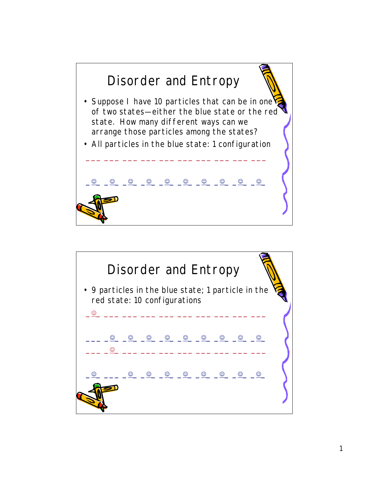

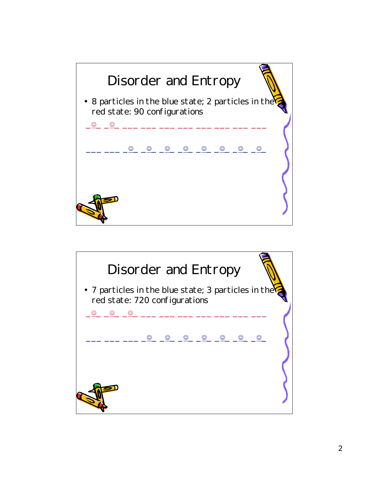

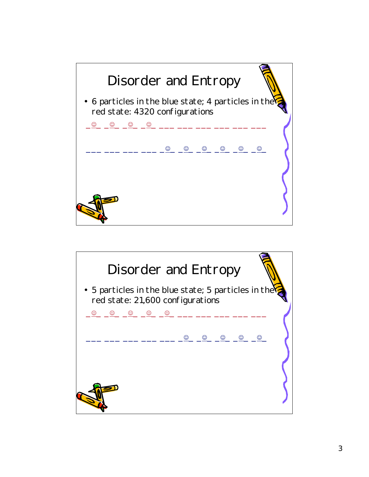

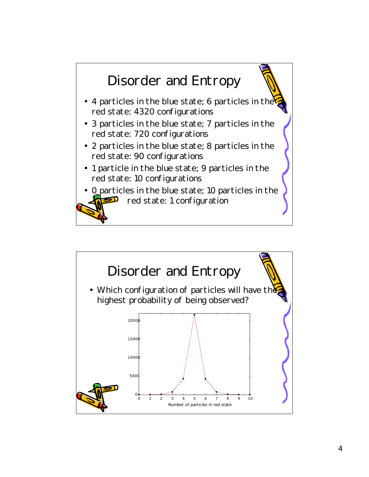

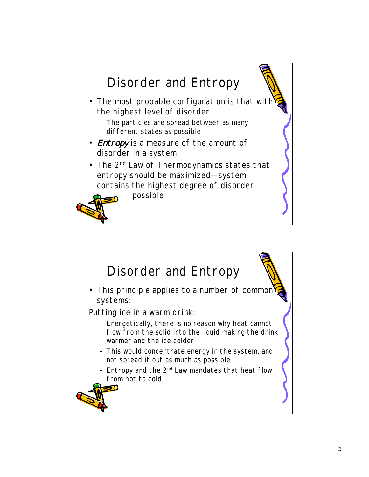

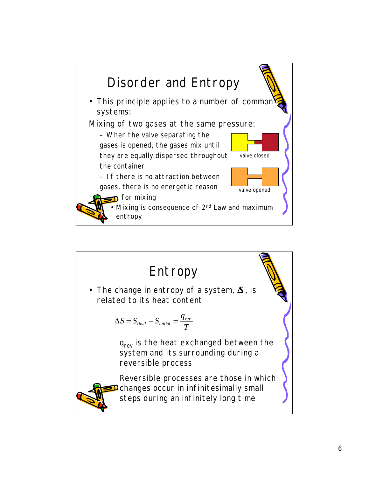

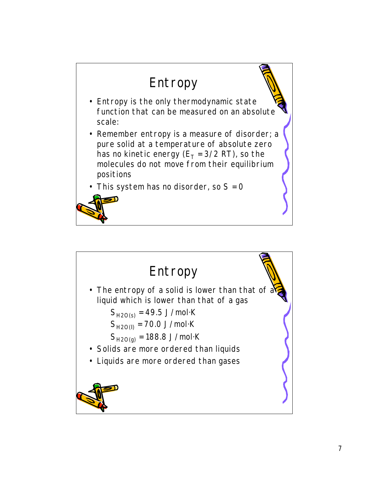

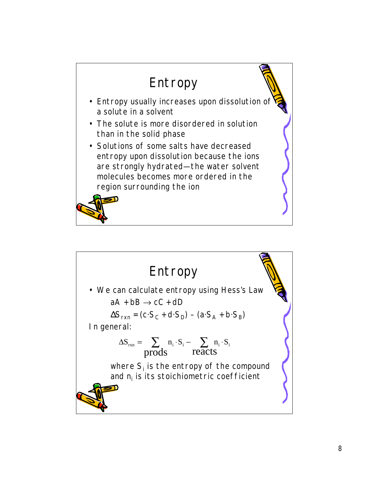

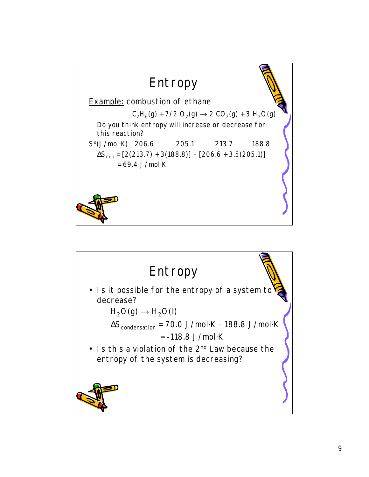

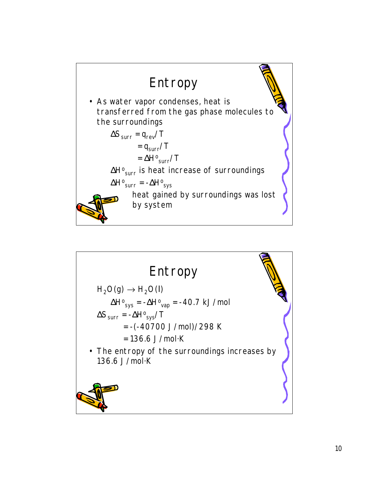

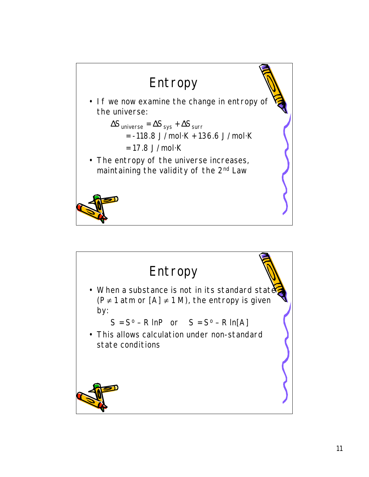

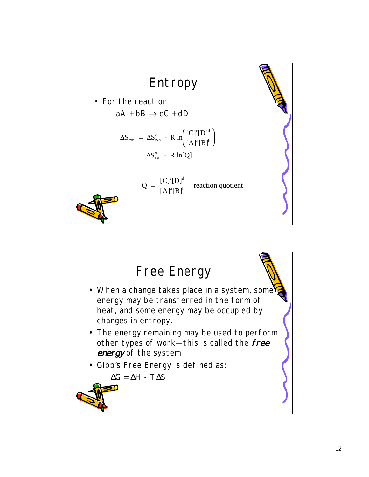

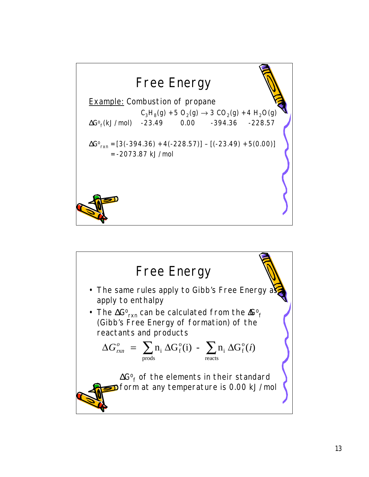

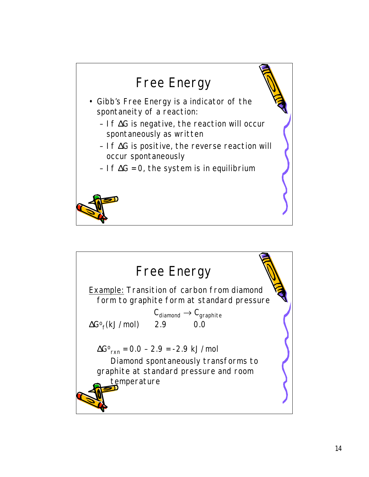

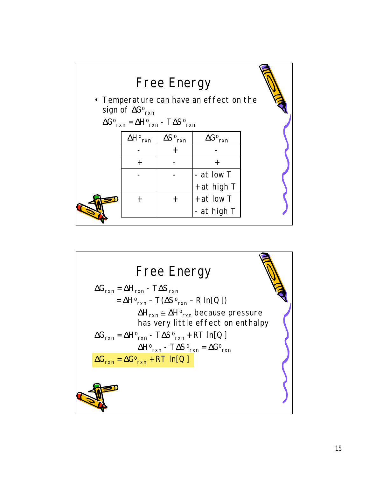

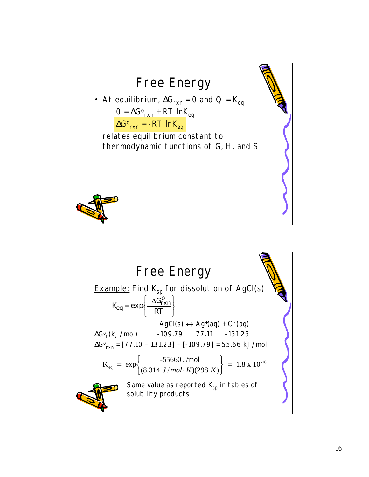